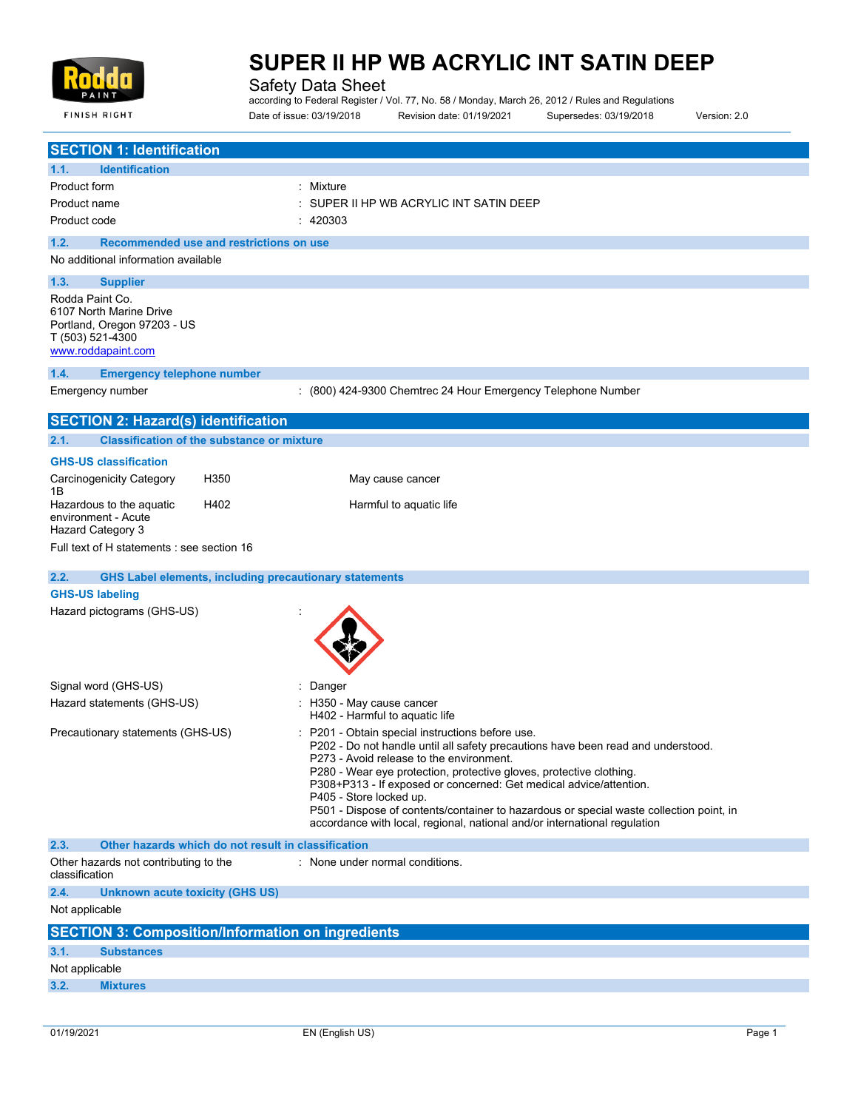

**FINISH RIGHT** 

# **SUPER II HP WB ACRYLIC INT SATIN DEEP**

Safety Data Sheet

according to Federal Register / Vol. 77, No. 58 / Monday, March 26, 2012 / Rules and Regulations Date of issue: 03/19/2018 Revision date: 01/19/2021 Supersedes: 03/19/2018 Version: 2.0

| <b>Identification</b><br>1.1.<br>Product form<br>: Mixture<br>SUPER II HP WB ACRYLIC INT SATIN DEEP<br>Product name<br>Product code<br>: 420303<br>Recommended use and restrictions on use<br>1.2.<br>No additional information available<br>1.3.<br><b>Supplier</b><br>Rodda Paint Co.<br>6107 North Marine Drive<br>Portland, Oregon 97203 - US<br><b>Emergency telephone number</b><br>: (800) 424-9300 Chemtrec 24 Hour Emergency Telephone Number<br>2.1.<br><b>Classification of the substance or mixture</b><br><b>GHS-US classification</b><br>H350<br>May cause cancer<br>1Β<br>Hazardous to the aquatic<br>H402<br>Harmful to aquatic life<br>environment - Acute<br>Full text of H statements : see section 16<br>2.2.<br><b>GHS Label elements, including precautionary statements</b><br><b>GHS-US labeling</b><br>Hazard pictograms (GHS-US)<br>Signal word (GHS-US)<br>Danger<br>: H350 - May cause cancer<br>H402 - Harmful to aquatic life<br>Precautionary statements (GHS-US)<br>: P201 - Obtain special instructions before use.<br>P202 - Do not handle until all safety precautions have been read and understood.<br>P273 - Avoid release to the environment.<br>P280 - Wear eye protection, protective gloves, protective clothing.<br>P308+P313 - If exposed or concerned: Get medical advice/attention.<br>P405 - Store locked up.<br>P501 - Dispose of contents/container to hazardous or special waste collection point, in<br>accordance with local, regional, national and/or international regulation<br>Other hazards which do not result in classification<br>2.3.<br>Other hazards not contributing to the<br>: None under normal conditions.<br>classification<br>2.4.<br><b>Unknown acute toxicity (GHS US)</b><br><b>SECTION 3: Composition/Information on ingredients</b> | <b>SECTION 1: Identification</b>           |  |
|-----------------------------------------------------------------------------------------------------------------------------------------------------------------------------------------------------------------------------------------------------------------------------------------------------------------------------------------------------------------------------------------------------------------------------------------------------------------------------------------------------------------------------------------------------------------------------------------------------------------------------------------------------------------------------------------------------------------------------------------------------------------------------------------------------------------------------------------------------------------------------------------------------------------------------------------------------------------------------------------------------------------------------------------------------------------------------------------------------------------------------------------------------------------------------------------------------------------------------------------------------------------------------------------------------------------------------------------------------------------------------------------------------------------------------------------------------------------------------------------------------------------------------------------------------------------------------------------------------------------------------------------------------------------------------------------------------------------------------------------------------------------------------------------------------------------|--------------------------------------------|--|
|                                                                                                                                                                                                                                                                                                                                                                                                                                                                                                                                                                                                                                                                                                                                                                                                                                                                                                                                                                                                                                                                                                                                                                                                                                                                                                                                                                                                                                                                                                                                                                                                                                                                                                                                                                                                                 |                                            |  |
|                                                                                                                                                                                                                                                                                                                                                                                                                                                                                                                                                                                                                                                                                                                                                                                                                                                                                                                                                                                                                                                                                                                                                                                                                                                                                                                                                                                                                                                                                                                                                                                                                                                                                                                                                                                                                 |                                            |  |
|                                                                                                                                                                                                                                                                                                                                                                                                                                                                                                                                                                                                                                                                                                                                                                                                                                                                                                                                                                                                                                                                                                                                                                                                                                                                                                                                                                                                                                                                                                                                                                                                                                                                                                                                                                                                                 |                                            |  |
|                                                                                                                                                                                                                                                                                                                                                                                                                                                                                                                                                                                                                                                                                                                                                                                                                                                                                                                                                                                                                                                                                                                                                                                                                                                                                                                                                                                                                                                                                                                                                                                                                                                                                                                                                                                                                 |                                            |  |
|                                                                                                                                                                                                                                                                                                                                                                                                                                                                                                                                                                                                                                                                                                                                                                                                                                                                                                                                                                                                                                                                                                                                                                                                                                                                                                                                                                                                                                                                                                                                                                                                                                                                                                                                                                                                                 |                                            |  |
|                                                                                                                                                                                                                                                                                                                                                                                                                                                                                                                                                                                                                                                                                                                                                                                                                                                                                                                                                                                                                                                                                                                                                                                                                                                                                                                                                                                                                                                                                                                                                                                                                                                                                                                                                                                                                 |                                            |  |
|                                                                                                                                                                                                                                                                                                                                                                                                                                                                                                                                                                                                                                                                                                                                                                                                                                                                                                                                                                                                                                                                                                                                                                                                                                                                                                                                                                                                                                                                                                                                                                                                                                                                                                                                                                                                                 |                                            |  |
|                                                                                                                                                                                                                                                                                                                                                                                                                                                                                                                                                                                                                                                                                                                                                                                                                                                                                                                                                                                                                                                                                                                                                                                                                                                                                                                                                                                                                                                                                                                                                                                                                                                                                                                                                                                                                 | T (503) 521-4300<br>www.roddapaint.com     |  |
|                                                                                                                                                                                                                                                                                                                                                                                                                                                                                                                                                                                                                                                                                                                                                                                                                                                                                                                                                                                                                                                                                                                                                                                                                                                                                                                                                                                                                                                                                                                                                                                                                                                                                                                                                                                                                 | 1.4.                                       |  |
|                                                                                                                                                                                                                                                                                                                                                                                                                                                                                                                                                                                                                                                                                                                                                                                                                                                                                                                                                                                                                                                                                                                                                                                                                                                                                                                                                                                                                                                                                                                                                                                                                                                                                                                                                                                                                 | Emergency number                           |  |
|                                                                                                                                                                                                                                                                                                                                                                                                                                                                                                                                                                                                                                                                                                                                                                                                                                                                                                                                                                                                                                                                                                                                                                                                                                                                                                                                                                                                                                                                                                                                                                                                                                                                                                                                                                                                                 | <b>SECTION 2: Hazard(s) identification</b> |  |
|                                                                                                                                                                                                                                                                                                                                                                                                                                                                                                                                                                                                                                                                                                                                                                                                                                                                                                                                                                                                                                                                                                                                                                                                                                                                                                                                                                                                                                                                                                                                                                                                                                                                                                                                                                                                                 |                                            |  |
|                                                                                                                                                                                                                                                                                                                                                                                                                                                                                                                                                                                                                                                                                                                                                                                                                                                                                                                                                                                                                                                                                                                                                                                                                                                                                                                                                                                                                                                                                                                                                                                                                                                                                                                                                                                                                 |                                            |  |
|                                                                                                                                                                                                                                                                                                                                                                                                                                                                                                                                                                                                                                                                                                                                                                                                                                                                                                                                                                                                                                                                                                                                                                                                                                                                                                                                                                                                                                                                                                                                                                                                                                                                                                                                                                                                                 | Carcinogenicity Category                   |  |
|                                                                                                                                                                                                                                                                                                                                                                                                                                                                                                                                                                                                                                                                                                                                                                                                                                                                                                                                                                                                                                                                                                                                                                                                                                                                                                                                                                                                                                                                                                                                                                                                                                                                                                                                                                                                                 | Hazard Category 3                          |  |
|                                                                                                                                                                                                                                                                                                                                                                                                                                                                                                                                                                                                                                                                                                                                                                                                                                                                                                                                                                                                                                                                                                                                                                                                                                                                                                                                                                                                                                                                                                                                                                                                                                                                                                                                                                                                                 |                                            |  |
|                                                                                                                                                                                                                                                                                                                                                                                                                                                                                                                                                                                                                                                                                                                                                                                                                                                                                                                                                                                                                                                                                                                                                                                                                                                                                                                                                                                                                                                                                                                                                                                                                                                                                                                                                                                                                 |                                            |  |
|                                                                                                                                                                                                                                                                                                                                                                                                                                                                                                                                                                                                                                                                                                                                                                                                                                                                                                                                                                                                                                                                                                                                                                                                                                                                                                                                                                                                                                                                                                                                                                                                                                                                                                                                                                                                                 |                                            |  |
|                                                                                                                                                                                                                                                                                                                                                                                                                                                                                                                                                                                                                                                                                                                                                                                                                                                                                                                                                                                                                                                                                                                                                                                                                                                                                                                                                                                                                                                                                                                                                                                                                                                                                                                                                                                                                 |                                            |  |
|                                                                                                                                                                                                                                                                                                                                                                                                                                                                                                                                                                                                                                                                                                                                                                                                                                                                                                                                                                                                                                                                                                                                                                                                                                                                                                                                                                                                                                                                                                                                                                                                                                                                                                                                                                                                                 |                                            |  |
|                                                                                                                                                                                                                                                                                                                                                                                                                                                                                                                                                                                                                                                                                                                                                                                                                                                                                                                                                                                                                                                                                                                                                                                                                                                                                                                                                                                                                                                                                                                                                                                                                                                                                                                                                                                                                 | Hazard statements (GHS-US)                 |  |
|                                                                                                                                                                                                                                                                                                                                                                                                                                                                                                                                                                                                                                                                                                                                                                                                                                                                                                                                                                                                                                                                                                                                                                                                                                                                                                                                                                                                                                                                                                                                                                                                                                                                                                                                                                                                                 |                                            |  |
|                                                                                                                                                                                                                                                                                                                                                                                                                                                                                                                                                                                                                                                                                                                                                                                                                                                                                                                                                                                                                                                                                                                                                                                                                                                                                                                                                                                                                                                                                                                                                                                                                                                                                                                                                                                                                 |                                            |  |
|                                                                                                                                                                                                                                                                                                                                                                                                                                                                                                                                                                                                                                                                                                                                                                                                                                                                                                                                                                                                                                                                                                                                                                                                                                                                                                                                                                                                                                                                                                                                                                                                                                                                                                                                                                                                                 |                                            |  |
|                                                                                                                                                                                                                                                                                                                                                                                                                                                                                                                                                                                                                                                                                                                                                                                                                                                                                                                                                                                                                                                                                                                                                                                                                                                                                                                                                                                                                                                                                                                                                                                                                                                                                                                                                                                                                 |                                            |  |
|                                                                                                                                                                                                                                                                                                                                                                                                                                                                                                                                                                                                                                                                                                                                                                                                                                                                                                                                                                                                                                                                                                                                                                                                                                                                                                                                                                                                                                                                                                                                                                                                                                                                                                                                                                                                                 | Not applicable                             |  |
|                                                                                                                                                                                                                                                                                                                                                                                                                                                                                                                                                                                                                                                                                                                                                                                                                                                                                                                                                                                                                                                                                                                                                                                                                                                                                                                                                                                                                                                                                                                                                                                                                                                                                                                                                                                                                 |                                            |  |
| 3.1.<br><b>Substances</b>                                                                                                                                                                                                                                                                                                                                                                                                                                                                                                                                                                                                                                                                                                                                                                                                                                                                                                                                                                                                                                                                                                                                                                                                                                                                                                                                                                                                                                                                                                                                                                                                                                                                                                                                                                                       |                                            |  |
| Not applicable                                                                                                                                                                                                                                                                                                                                                                                                                                                                                                                                                                                                                                                                                                                                                                                                                                                                                                                                                                                                                                                                                                                                                                                                                                                                                                                                                                                                                                                                                                                                                                                                                                                                                                                                                                                                  |                                            |  |
| 3.2.<br><b>Mixtures</b>                                                                                                                                                                                                                                                                                                                                                                                                                                                                                                                                                                                                                                                                                                                                                                                                                                                                                                                                                                                                                                                                                                                                                                                                                                                                                                                                                                                                                                                                                                                                                                                                                                                                                                                                                                                         |                                            |  |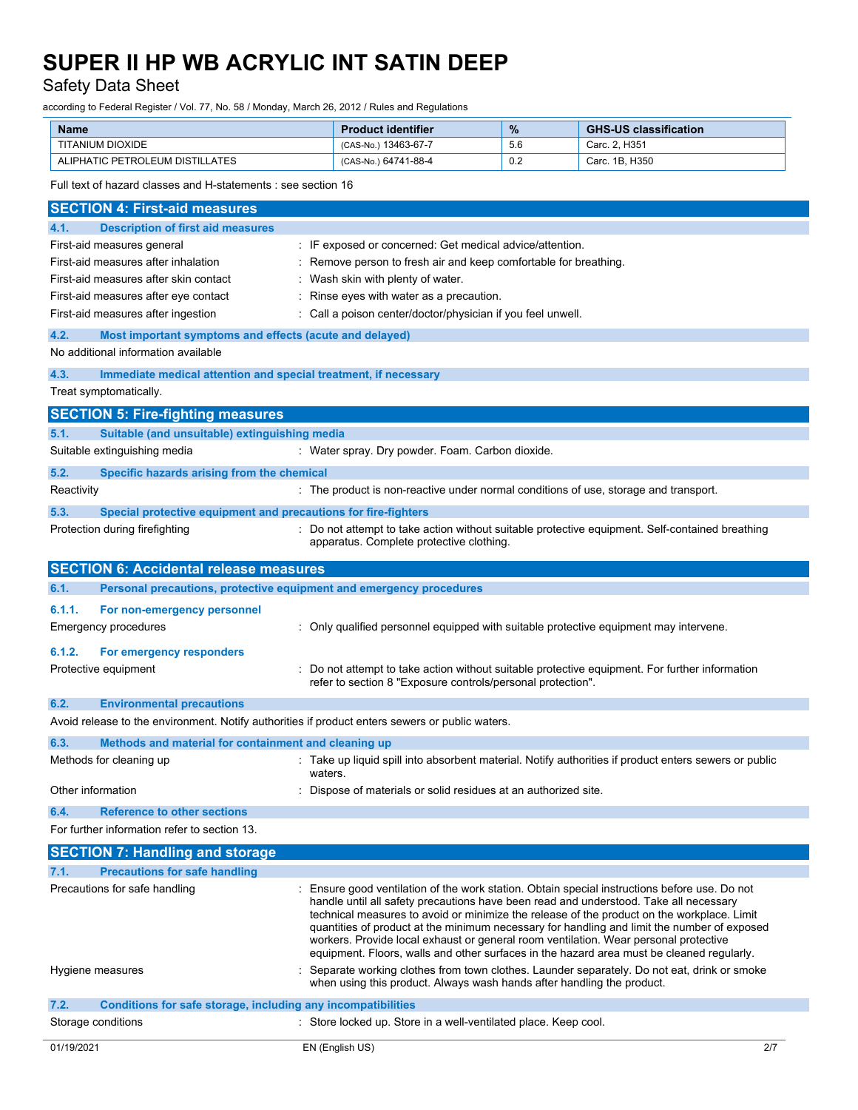# Safety Data Sheet

according to Federal Register / Vol. 77, No. 58 / Monday, March 26, 2012 / Rules and Regulations

| <b>Name</b>                     | <b>Product identifier</b> | $\frac{9}{6}$ | <b>GHS-US classification</b> |
|---------------------------------|---------------------------|---------------|------------------------------|
| <b>TITANIUM DIOXIDE</b>         | (CAS-No.) 13463-67-7      | 5.6           | Carc. 2. H351                |
| ALIPHATIC PETROLEUM DISTILLATES | (CAS-No.) 64741-88-4      | 0.2           | Carc. 1B. H350               |

Full text of hazard classes and H-statements : see section 16

| <b>SECTION 4: First-aid measures</b>                                                            |                                                                                                                                                                                                                                                                                                                                                                                                                                                                                                                                                                        |  |  |  |
|-------------------------------------------------------------------------------------------------|------------------------------------------------------------------------------------------------------------------------------------------------------------------------------------------------------------------------------------------------------------------------------------------------------------------------------------------------------------------------------------------------------------------------------------------------------------------------------------------------------------------------------------------------------------------------|--|--|--|
| <b>Description of first aid measures</b><br>4.1.                                                |                                                                                                                                                                                                                                                                                                                                                                                                                                                                                                                                                                        |  |  |  |
| First-aid measures general                                                                      | : IF exposed or concerned: Get medical advice/attention.                                                                                                                                                                                                                                                                                                                                                                                                                                                                                                               |  |  |  |
| First-aid measures after inhalation                                                             | Remove person to fresh air and keep comfortable for breathing.                                                                                                                                                                                                                                                                                                                                                                                                                                                                                                         |  |  |  |
| First-aid measures after skin contact                                                           | Wash skin with plenty of water.                                                                                                                                                                                                                                                                                                                                                                                                                                                                                                                                        |  |  |  |
| First-aid measures after eye contact                                                            | Rinse eyes with water as a precaution.                                                                                                                                                                                                                                                                                                                                                                                                                                                                                                                                 |  |  |  |
| First-aid measures after ingestion                                                              | Call a poison center/doctor/physician if you feel unwell.                                                                                                                                                                                                                                                                                                                                                                                                                                                                                                              |  |  |  |
| 4.2.<br>Most important symptoms and effects (acute and delayed)                                 |                                                                                                                                                                                                                                                                                                                                                                                                                                                                                                                                                                        |  |  |  |
| No additional information available                                                             |                                                                                                                                                                                                                                                                                                                                                                                                                                                                                                                                                                        |  |  |  |
| 4.3.<br>Immediate medical attention and special treatment, if necessary                         |                                                                                                                                                                                                                                                                                                                                                                                                                                                                                                                                                                        |  |  |  |
| Treat symptomatically.                                                                          |                                                                                                                                                                                                                                                                                                                                                                                                                                                                                                                                                                        |  |  |  |
| <b>SECTION 5: Fire-fighting measures</b>                                                        |                                                                                                                                                                                                                                                                                                                                                                                                                                                                                                                                                                        |  |  |  |
| Suitable (and unsuitable) extinguishing media<br>5.1.                                           |                                                                                                                                                                                                                                                                                                                                                                                                                                                                                                                                                                        |  |  |  |
| Suitable extinguishing media                                                                    | : Water spray. Dry powder. Foam. Carbon dioxide.                                                                                                                                                                                                                                                                                                                                                                                                                                                                                                                       |  |  |  |
| 5.2.<br>Specific hazards arising from the chemical                                              |                                                                                                                                                                                                                                                                                                                                                                                                                                                                                                                                                                        |  |  |  |
| Reactivity                                                                                      | : The product is non-reactive under normal conditions of use, storage and transport.                                                                                                                                                                                                                                                                                                                                                                                                                                                                                   |  |  |  |
| 5.3.<br>Special protective equipment and precautions for fire-fighters                          |                                                                                                                                                                                                                                                                                                                                                                                                                                                                                                                                                                        |  |  |  |
| Protection during firefighting                                                                  | : Do not attempt to take action without suitable protective equipment. Self-contained breathing<br>apparatus. Complete protective clothing.                                                                                                                                                                                                                                                                                                                                                                                                                            |  |  |  |
| <b>SECTION 6: Accidental release measures</b>                                                   |                                                                                                                                                                                                                                                                                                                                                                                                                                                                                                                                                                        |  |  |  |
| Personal precautions, protective equipment and emergency procedures<br>6.1.                     |                                                                                                                                                                                                                                                                                                                                                                                                                                                                                                                                                                        |  |  |  |
| 6.1.1.<br>For non-emergency personnel                                                           |                                                                                                                                                                                                                                                                                                                                                                                                                                                                                                                                                                        |  |  |  |
| Emergency procedures                                                                            | : Only qualified personnel equipped with suitable protective equipment may intervene.                                                                                                                                                                                                                                                                                                                                                                                                                                                                                  |  |  |  |
| 6.1.2.<br>For emergency responders                                                              |                                                                                                                                                                                                                                                                                                                                                                                                                                                                                                                                                                        |  |  |  |
| Protective equipment                                                                            | Do not attempt to take action without suitable protective equipment. For further information<br>refer to section 8 "Exposure controls/personal protection".                                                                                                                                                                                                                                                                                                                                                                                                            |  |  |  |
| 6.2.<br><b>Environmental precautions</b>                                                        |                                                                                                                                                                                                                                                                                                                                                                                                                                                                                                                                                                        |  |  |  |
| Avoid release to the environment. Notify authorities if product enters sewers or public waters. |                                                                                                                                                                                                                                                                                                                                                                                                                                                                                                                                                                        |  |  |  |
| 6.3.<br>Methods and material for containment and cleaning up                                    |                                                                                                                                                                                                                                                                                                                                                                                                                                                                                                                                                                        |  |  |  |
| Methods for cleaning up                                                                         | : Take up liquid spill into absorbent material. Notify authorities if product enters sewers or public<br>waters.                                                                                                                                                                                                                                                                                                                                                                                                                                                       |  |  |  |
| Other information                                                                               | Dispose of materials or solid residues at an authorized site.                                                                                                                                                                                                                                                                                                                                                                                                                                                                                                          |  |  |  |
| <b>Reference to other sections</b><br>6.4.                                                      |                                                                                                                                                                                                                                                                                                                                                                                                                                                                                                                                                                        |  |  |  |
| For further information refer to section 13                                                     |                                                                                                                                                                                                                                                                                                                                                                                                                                                                                                                                                                        |  |  |  |
| <b>SECTION 7: Handling and storage</b>                                                          |                                                                                                                                                                                                                                                                                                                                                                                                                                                                                                                                                                        |  |  |  |
| 7.1.<br><b>Precautions for safe handling</b>                                                    |                                                                                                                                                                                                                                                                                                                                                                                                                                                                                                                                                                        |  |  |  |
| Precautions for safe handling                                                                   | Ensure good ventilation of the work station. Obtain special instructions before use. Do not<br>handle until all safety precautions have been read and understood. Take all necessary<br>technical measures to avoid or minimize the release of the product on the workplace. Limit<br>quantities of product at the minimum necessary for handling and limit the number of exposed<br>workers. Provide local exhaust or general room ventilation. Wear personal protective<br>equipment. Floors, walls and other surfaces in the hazard area must be cleaned regularly. |  |  |  |
| Hygiene measures                                                                                | Separate working clothes from town clothes. Launder separately. Do not eat, drink or smoke<br>when using this product. Always wash hands after handling the product.                                                                                                                                                                                                                                                                                                                                                                                                   |  |  |  |
| 7.2.<br>Conditions for safe storage, including any incompatibilities                            |                                                                                                                                                                                                                                                                                                                                                                                                                                                                                                                                                                        |  |  |  |
| Storage conditions                                                                              | : Store locked up. Store in a well-ventilated place. Keep cool.                                                                                                                                                                                                                                                                                                                                                                                                                                                                                                        |  |  |  |
| 01/19/2021                                                                                      | 2/7<br>EN (English US)                                                                                                                                                                                                                                                                                                                                                                                                                                                                                                                                                 |  |  |  |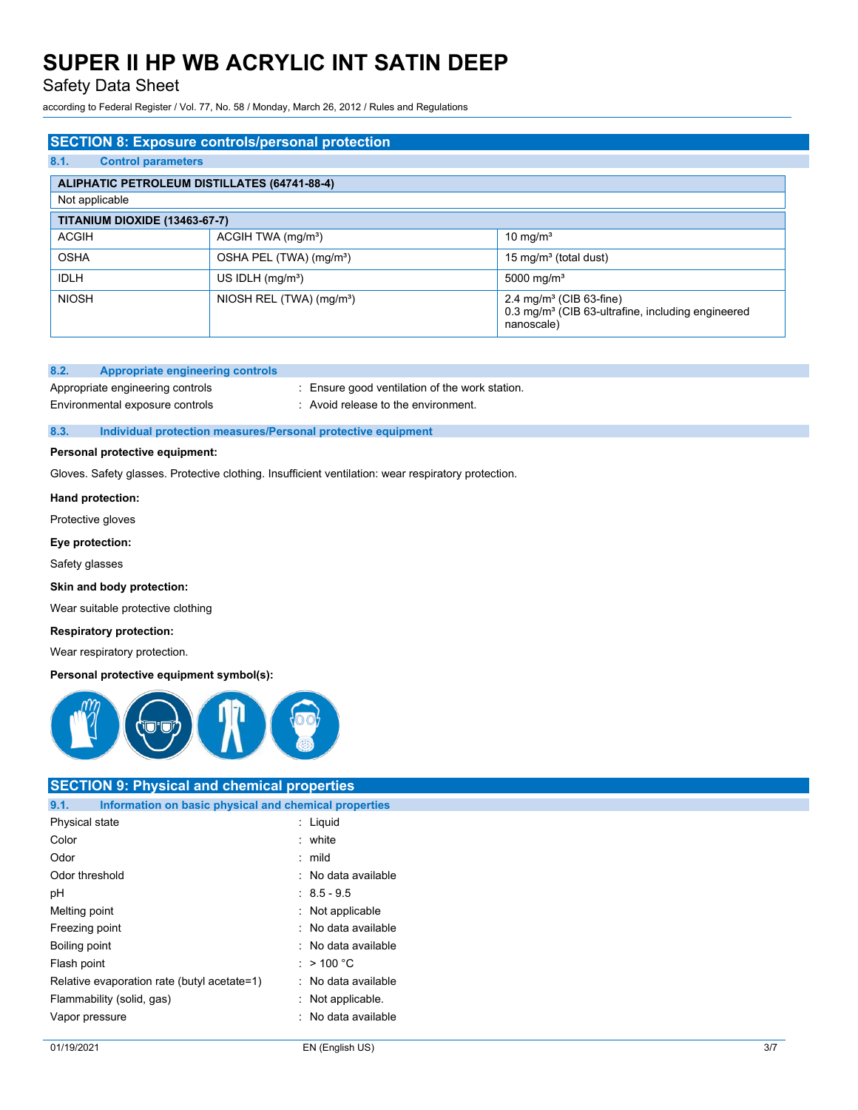## Safety Data Sheet

according to Federal Register / Vol. 77, No. 58 / Monday, March 26, 2012 / Rules and Regulations

# **SECTION 8: Exposure controls/personal protection 8.1. Control parameters ALIPHATIC PETROLEUM DISTILLATES (64741-88-4)** Not applicable **TITANIUM DIOXIDE (13463-67-7)** ACGIH ACGIH TWA (mg/m<sup>3</sup>) 10 mg/m<sup>3</sup> OSHA OSHA PEL (TWA) (mg/m<sup>a</sup>) 15 mg/m<sup>3</sup> (total dust) IDLH US IDLH (mg/m<sup>3</sup>) 5000 mg/m<sup>3</sup> NIOSH NIOSH REL (TWA) (mg/m<sup>3</sup>) 2.4 mg/m<sup>3</sup> (CIB 63-fine) 0.3 mg/m<sup>3</sup> (CIB 63-ultrafine, including engineered nanoscale)

#### **8.2. Appropriate engineering controls**

Appropriate engineering controls : Ensure good ventilation of the work station. Environmental exposure controls : Avoid release to the environment.

### **8.3. Individual protection measures/Personal protective equipment**

### **Personal protective equipment:**

Gloves. Safety glasses. Protective clothing. Insufficient ventilation: wear respiratory protection.

#### **Hand protection:**

Protective gloves

#### **Eye protection:**

Safety glasses

#### **Skin and body protection:**

Wear suitable protective clothing

#### **Respiratory protection:**

Wear respiratory protection.

### **Personal protective equipment symbol(s):**



# **SECTION 9: Physical and chemical properties**

| Information on basic physical and chemical properties<br>9.1. |                     |  |  |  |
|---------------------------------------------------------------|---------------------|--|--|--|
| Physical state                                                | $:$ Liquid          |  |  |  |
| Color                                                         | $:$ white           |  |  |  |
| Odor                                                          | : mild              |  |  |  |
| Odor threshold                                                | : No data available |  |  |  |
| рH                                                            | $: 8.5 - 9.5$       |  |  |  |
| Melting point                                                 | : Not applicable    |  |  |  |
| Freezing point                                                | : No data available |  |  |  |
| Boiling point                                                 | : No data available |  |  |  |
| Flash point                                                   | : $> 100 °C$        |  |  |  |
| Relative evaporation rate (butyl acetate=1)                   | : No data available |  |  |  |
| Flammability (solid, gas)                                     | : Not applicable.   |  |  |  |
| Vapor pressure                                                | : No data available |  |  |  |
|                                                               |                     |  |  |  |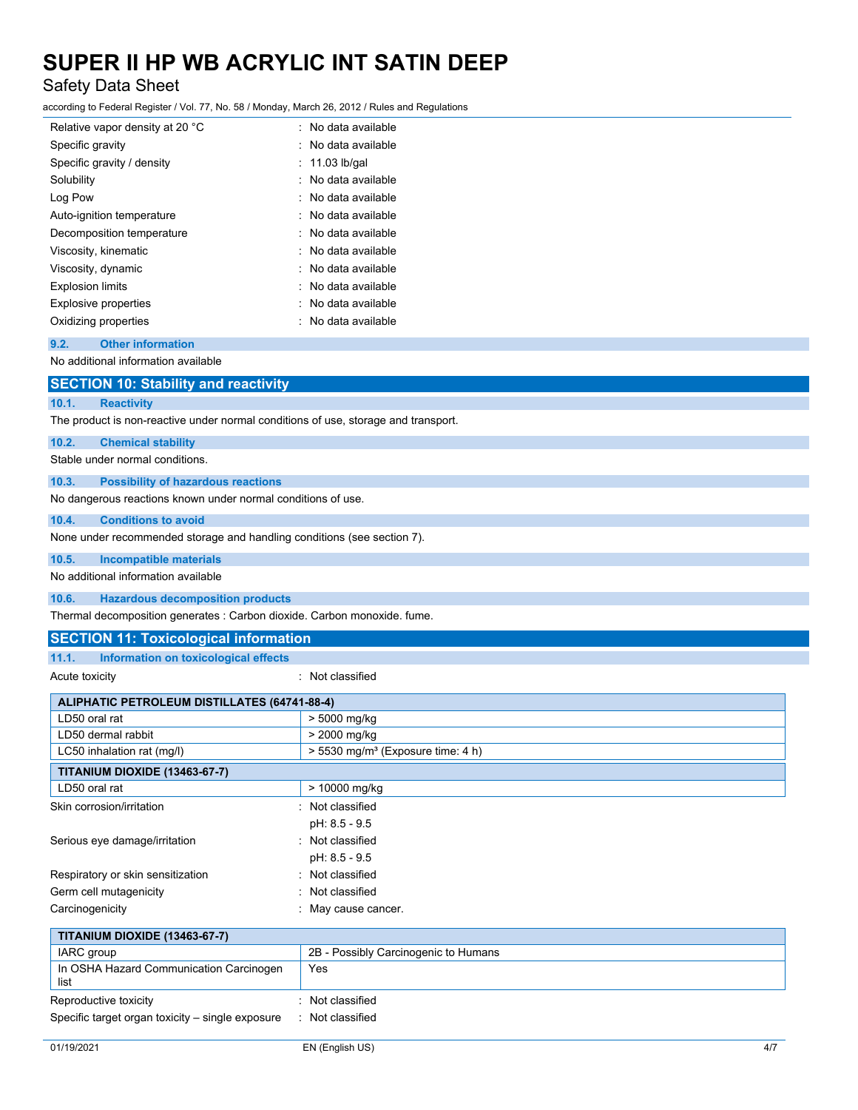# Safety Data Sheet

according to Federal Register / Vol. 77, No. 58 / Monday, March 26, 2012 / Rules and Regulations

| Relative vapor density at 20 °C | : No data available |
|---------------------------------|---------------------|
| Specific gravity                | : No data available |
| Specific gravity / density      | $: 11.03$ lb/gal    |
| Solubility                      | : No data available |
| Log Pow                         | : No data available |
| Auto-ignition temperature       | : No data available |
| Decomposition temperature       | : No data available |
| Viscosity, kinematic            | : No data available |
| Viscosity, dynamic              | : No data available |
| <b>Explosion limits</b>         | : No data available |
| <b>Explosive properties</b>     | No data available   |
| Oxidizing properties            | No data available   |
|                                 |                     |

#### **9.2. Other information**

No additional information available

|       | <b>SECTION 10: Stability and reactivity</b>                                        |
|-------|------------------------------------------------------------------------------------|
| 10.1. | <b>Reactivity</b>                                                                  |
|       | The product is non-reactive under normal conditions of use, storage and transport. |
| 10.2. | <b>Chemical stability</b>                                                          |
|       | Stable under normal conditions.                                                    |
| 10.3. | <b>Possibility of hazardous reactions</b>                                          |
|       | No dangerous reactions known under normal conditions of use.                       |
| 10.4. | <b>Conditions to avoid</b>                                                         |
|       | None under recommended storage and handling conditions (see section 7).            |
| 10.5. | <b>Incompatible materials</b>                                                      |
|       | No additional information available                                                |
| 10.6. | <b>Hazardous decomposition products</b>                                            |
|       |                                                                                    |

Thermal decomposition generates : Carbon dioxide. Carbon monoxide. fume.

## **SECTION 11: Toxicological information**

## **11.1. Information on toxicological effects**

Acute toxicity in the contract of the classified in the classified in the classified in the classified in the classified in the classified in the classified in the classified in the classified in the classified in the clas

| <b>ALIPHATIC PETROLEUM DISTILLATES (64741-88-4)</b> |                                                 |  |  |  |
|-----------------------------------------------------|-------------------------------------------------|--|--|--|
| LD50 oral rat                                       | > 5000 mg/kg                                    |  |  |  |
| LD50 dermal rabbit<br>> 2000 mg/kg                  |                                                 |  |  |  |
| LC50 inhalation rat (mg/l)                          | $> 5530$ mg/m <sup>3</sup> (Exposure time: 4 h) |  |  |  |
| <b>TITANIUM DIOXIDE (13463-67-7)</b>                |                                                 |  |  |  |
| LD50 oral rat                                       | > 10000 mg/kg                                   |  |  |  |
| Skin corrosion/irritation                           | Not classified                                  |  |  |  |
|                                                     | pH: 8.5 - 9.5                                   |  |  |  |
| Serious eye damage/irritation                       | Not classified<br>٠                             |  |  |  |
|                                                     | pH: 8.5 - 9.5                                   |  |  |  |
| Respiratory or skin sensitization                   | : Not classified                                |  |  |  |
| Germ cell mutagenicity                              | : Not classified                                |  |  |  |
| Carcinogenicity                                     | : May cause cancer.                             |  |  |  |
| <b>TITANIUM DIOXIDE (13463-67-7)</b>                |                                                 |  |  |  |
| IARC group                                          | 2B - Possibly Carcinogenic to Humans            |  |  |  |
| In OSHA Hazard Communication Carcinogen<br>list     | Yes                                             |  |  |  |
| Reproductive toxicity                               | Not classified<br>۰.                            |  |  |  |
| Specific target organ toxicity – single exposure    | : Not classified                                |  |  |  |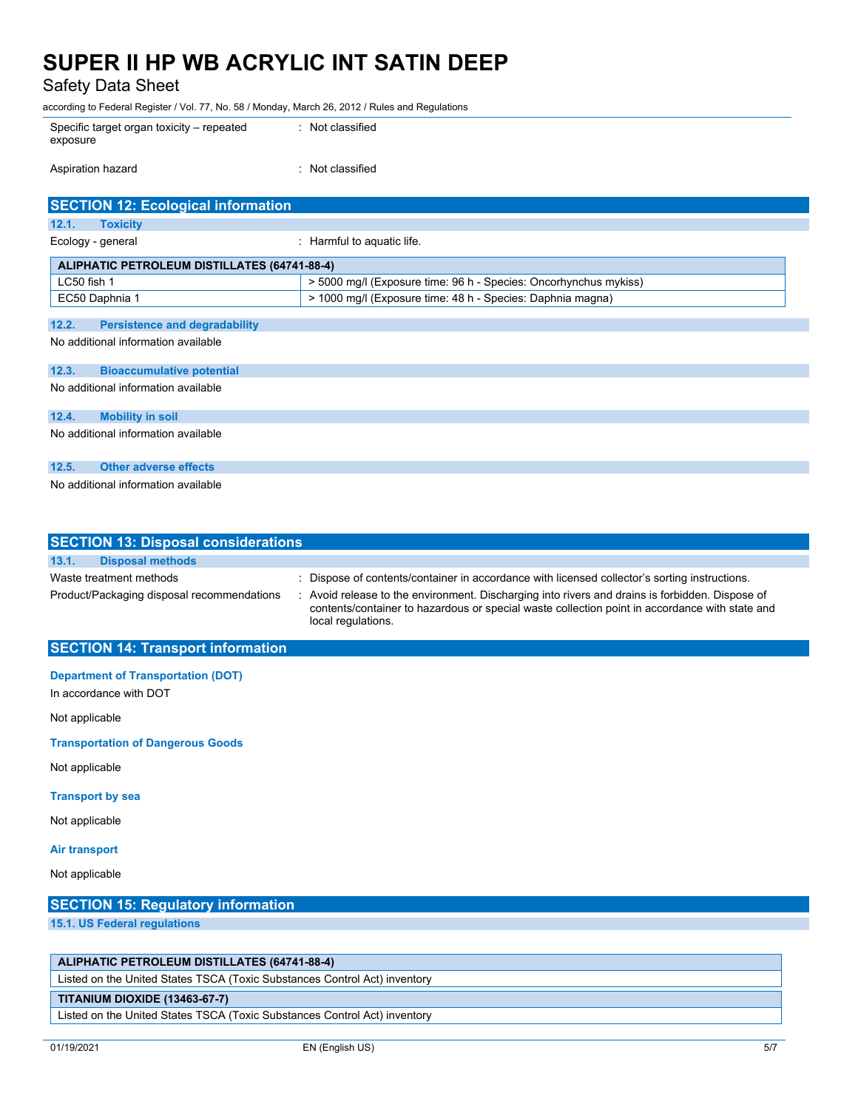Safety Data Sheet

according to Federal Register / Vol. 77, No. 58 / Monday, March 26, 2012 / Rules and Regulations

| Specific target organ toxicity – repeated | : Not classified |
|-------------------------------------------|------------------|
| exposure                                  |                  |
|                                           |                  |

| Aspiration hazard |  | Not classified |
|-------------------|--|----------------|
|-------------------|--|----------------|

| <b>SECTION 12: Ecological information</b>           |                                                                  |
|-----------------------------------------------------|------------------------------------------------------------------|
| 12.1.<br><b>Toxicity</b>                            |                                                                  |
| Ecology - general                                   | : Harmful to aquatic life.                                       |
| <b>ALIPHATIC PETROLEUM DISTILLATES (64741-88-4)</b> |                                                                  |
| LC50 fish 1                                         | > 5000 mg/l (Exposure time: 96 h - Species: Oncorhynchus mykiss) |
| EC50 Daphnia 1                                      | > 1000 mg/l (Exposure time: 48 h - Species: Daphnia magna)       |
|                                                     |                                                                  |
| 12.2.<br><b>Persistence and degradability</b>       |                                                                  |
| No additional information available                 |                                                                  |
| 12.3.<br><b>Bioaccumulative potential</b>           |                                                                  |
| No additional information available                 |                                                                  |
|                                                     |                                                                  |
| 12.4.<br><b>Mobility in soil</b>                    |                                                                  |
| No additional information available                 |                                                                  |
|                                                     |                                                                  |
| 12.5.<br><b>Other adverse effects</b>               |                                                                  |
| No additional information available                 |                                                                  |

| <b>SECTION 13: Disposal considerations</b> |                                                                                                                                                                                                                         |  |  |  |
|--------------------------------------------|-------------------------------------------------------------------------------------------------------------------------------------------------------------------------------------------------------------------------|--|--|--|
| 13.1.<br><b>Disposal methods</b>           |                                                                                                                                                                                                                         |  |  |  |
| Waste treatment methods                    | : Dispose of contents/container in accordance with licensed collector's sorting instructions.                                                                                                                           |  |  |  |
| Product/Packaging disposal recommendations | : Avoid release to the environment. Discharging into rivers and drains is forbidden. Dispose of<br>contents/container to hazardous or special waste collection point in accordance with state and<br>local regulations. |  |  |  |

### **SECTION 14: Transport information**

### **Department of Transportation (DOT)**

In accordance with DOT

Not applicable

**Transportation of Dangerous Goods**

Not applicable

### **Transport by sea**

Not applicable

#### **Air transport**

Not applicable

## **SECTION 15: Regulatory information**

**15.1. US Federal regulations**

### **ALIPHATIC PETROLEUM DISTILLATES (64741-88-4)**

Listed on the United States TSCA (Toxic Substances Control Act) inventory

## **TITANIUM DIOXIDE (13463-67-7)**

Listed on the United States TSCA (Toxic Substances Control Act) inventory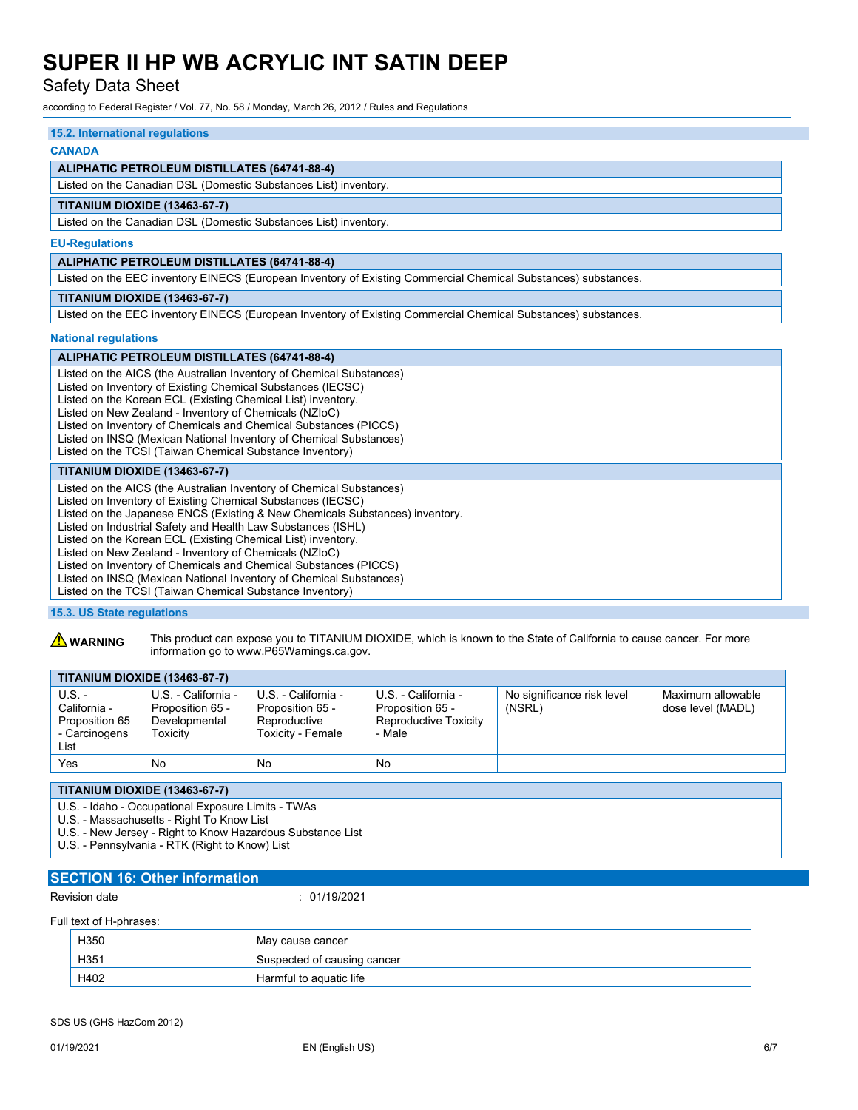Safety Data Sheet

according to Federal Register / Vol. 77, No. 58 / Monday, March 26, 2012 / Rules and Regulations

## **15.2. International regulations CANADA ALIPHATIC PETROLEUM DISTILLATES (64741-88-4)** Listed on the Canadian DSL (Domestic Substances List) inventory. **TITANIUM DIOXIDE (13463-67-7)** Listed on the Canadian DSL (Domestic Substances List) inventory. **EU-Regulations ALIPHATIC PETROLEUM DISTILLATES (64741-88-4)** Listed on the EEC inventory EINECS (European Inventory of Existing Commercial Chemical Substances) substances. **TITANIUM DIOXIDE (13463-67-7)** Listed on the EEC inventory EINECS (European Inventory of Existing Commercial Chemical Substances) substances. **National regulations ALIPHATIC PETROLEUM DISTILLATES (64741-88-4)** Listed on the AICS (the Australian Inventory of Chemical Substances) Listed on Inventory of Existing Chemical Substances (IECSC) Listed on the Korean ECL (Existing Chemical List) inventory. Listed on New Zealand - Inventory of Chemicals (NZIoC) Listed on Inventory of Chemicals and Chemical Substances (PICCS) Listed on INSQ (Mexican National Inventory of Chemical Substances) Listed on the TCSI (Taiwan Chemical Substance Inventory) **TITANIUM DIOXIDE (13463-67-7)** Listed on the AICS (the Australian Inventory of Chemical Substances) Listed on Inventory of Existing Chemical Substances (IECSC) Listed on the Japanese ENCS (Existing & New Chemicals Substances) inventory. Listed on Industrial Safety and Health Law Substances (ISHL) Listed on the Korean ECL (Existing Chemical List) inventory. Listed on New Zealand - Inventory of Chemicals (NZIoC) Listed on Inventory of Chemicals and Chemical Substances (PICCS) Listed on INSQ (Mexican National Inventory of Chemical Substances) Listed on the TCSI (Taiwan Chemical Substance Inventory)

### **15.3. US State regulations**

**A WARNING** This product can expose you to TITANIUM DIOXIDE, which is known to the State of California to cause cancer. For more information go to www.P65Warnings.ca.gov.

| <b>TITANIUM DIOXIDE (13463-67-7)</b>                                |                                                                      |                                                                              |                                                                            |                                      |                                        |
|---------------------------------------------------------------------|----------------------------------------------------------------------|------------------------------------------------------------------------------|----------------------------------------------------------------------------|--------------------------------------|----------------------------------------|
| $U.S.$ -<br>California -<br>Proposition 65<br>- Carcinogens<br>List | U.S. - California -<br>Proposition 65 -<br>Developmental<br>Toxicitv | U.S. - California -<br>Proposition 65 -<br>Reproductive<br>Toxicity - Female | U.S. - California -<br>Proposition 65 -<br>Reproductive Toxicity<br>- Male | No significance risk level<br>(NSRL) | Maximum allowable<br>dose level (MADL) |
| Yes                                                                 | No                                                                   | No                                                                           | No                                                                         |                                      |                                        |

**TITANIUM DIOXIDE (13463-67-7)**

U.S. - Idaho - Occupational Exposure Limits - TWAs

U.S. - Massachusetts - Right To Know List

U.S. - New Jersey - Right to Know Hazardous Substance List

U.S. - Pennsylvania - RTK (Right to Know) List

### **SECTION 16: Other information**

Revision date : 01/19/2021

#### Full text of H-phrases:

| H350 | May cause cancer            |
|------|-----------------------------|
| H351 | Suspected of causing cancer |
| H402 | Harmful to aguatic life     |